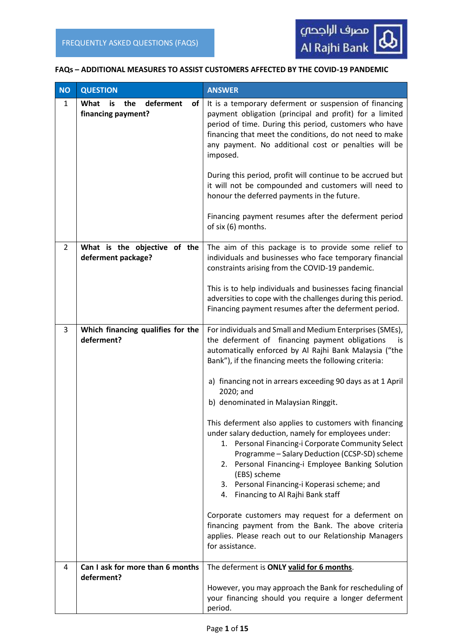

#### **FAQs – ADDITIONAL MEASURES TO ASSIST CUSTOMERS AFFECTED BY THE COVID-19 PANDEMIC**

| <b>NO</b>    | <b>QUESTION</b>                                            | <b>ANSWER</b>                                                                                                                                                                                                                                                                                                                                                                                                                                                                                                                                                                                                                                                                                                                                                                                                                                                                                                                                  |  |
|--------------|------------------------------------------------------------|------------------------------------------------------------------------------------------------------------------------------------------------------------------------------------------------------------------------------------------------------------------------------------------------------------------------------------------------------------------------------------------------------------------------------------------------------------------------------------------------------------------------------------------------------------------------------------------------------------------------------------------------------------------------------------------------------------------------------------------------------------------------------------------------------------------------------------------------------------------------------------------------------------------------------------------------|--|
| $\mathbf{1}$ | What<br>the<br>deferment<br>οf<br>is<br>financing payment? | It is a temporary deferment or suspension of financing<br>payment obligation (principal and profit) for a limited<br>period of time. During this period, customers who have<br>financing that meet the conditions, do not need to make<br>any payment. No additional cost or penalties will be<br>imposed.<br>During this period, profit will continue to be accrued but<br>it will not be compounded and customers will need to<br>honour the deferred payments in the future.<br>Financing payment resumes after the deferment period<br>of six (6) months.                                                                                                                                                                                                                                                                                                                                                                                  |  |
| 2            | What is the objective of the<br>deferment package?         | The aim of this package is to provide some relief to<br>individuals and businesses who face temporary financial<br>constraints arising from the COVID-19 pandemic.<br>This is to help individuals and businesses facing financial<br>adversities to cope with the challenges during this period.<br>Financing payment resumes after the deferment period.                                                                                                                                                                                                                                                                                                                                                                                                                                                                                                                                                                                      |  |
| 3            | Which financing qualifies for the<br>deferment?            | For individuals and Small and Medium Enterprises (SMEs),<br>the deferment of financing payment obligations<br>İS.<br>automatically enforced by Al Rajhi Bank Malaysia ("the<br>Bank"), if the financing meets the following criteria:<br>a) financing not in arrears exceeding 90 days as at 1 April<br>2020; and<br>b) denominated in Malaysian Ringgit.<br>This deferment also applies to customers with financing<br>under salary deduction, namely for employees under:<br>1. Personal Financing-i Corporate Community Select<br>Programme - Salary Deduction (CCSP-SD) scheme<br>2. Personal Financing-i Employee Banking Solution<br>(EBS) scheme<br>Personal Financing-i Koperasi scheme; and<br>3.<br>Financing to Al Rajhi Bank staff<br>4.<br>Corporate customers may request for a deferment on<br>financing payment from the Bank. The above criteria<br>applies. Please reach out to our Relationship Managers<br>for assistance. |  |
| 4            | Can I ask for more than 6 months<br>deferment?             | The deferment is ONLY valid for 6 months.                                                                                                                                                                                                                                                                                                                                                                                                                                                                                                                                                                                                                                                                                                                                                                                                                                                                                                      |  |
|              |                                                            | However, you may approach the Bank for rescheduling of<br>your financing should you require a longer deferment<br>period.                                                                                                                                                                                                                                                                                                                                                                                                                                                                                                                                                                                                                                                                                                                                                                                                                      |  |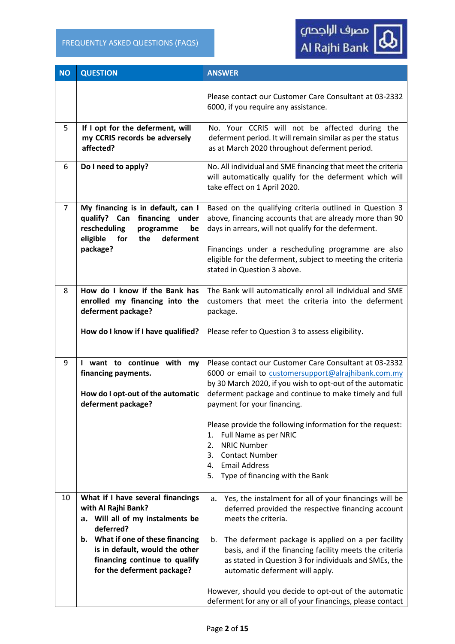| <b>NO</b>      | <b>QUESTION</b>                                                                                                                                                                                                                                       | <b>ANSWER</b>                                                                                                                                                                                                                                                                                                                                                                                                                                                                                     |
|----------------|-------------------------------------------------------------------------------------------------------------------------------------------------------------------------------------------------------------------------------------------------------|---------------------------------------------------------------------------------------------------------------------------------------------------------------------------------------------------------------------------------------------------------------------------------------------------------------------------------------------------------------------------------------------------------------------------------------------------------------------------------------------------|
|                |                                                                                                                                                                                                                                                       | Please contact our Customer Care Consultant at 03-2332<br>6000, if you require any assistance.                                                                                                                                                                                                                                                                                                                                                                                                    |
| 5              | If I opt for the deferment, will<br>my CCRIS records be adversely<br>affected?                                                                                                                                                                        | No. Your CCRIS will not be affected during the<br>deferment period. It will remain similar as per the status<br>as at March 2020 throughout deferment period.                                                                                                                                                                                                                                                                                                                                     |
| 6              | Do I need to apply?                                                                                                                                                                                                                                   | No. All individual and SME financing that meet the criteria<br>will automatically qualify for the deferment which will<br>take effect on 1 April 2020.                                                                                                                                                                                                                                                                                                                                            |
| $\overline{7}$ | My financing is in default, can I<br>qualify? Can financing<br>under<br>rescheduling<br>programme<br>be<br>deferment<br>eligible<br>for<br>the<br>package?                                                                                            | Based on the qualifying criteria outlined in Question 3<br>above, financing accounts that are already more than 90<br>days in arrears, will not qualify for the deferment.<br>Financings under a rescheduling programme are also<br>eligible for the deferment, subject to meeting the criteria<br>stated in Question 3 above.                                                                                                                                                                    |
| 8              | How do I know if the Bank has<br>enrolled my financing into the<br>deferment package?<br>How do I know if I have qualified?                                                                                                                           | The Bank will automatically enrol all individual and SME<br>customers that meet the criteria into the deferment<br>package.<br>Please refer to Question 3 to assess eligibility.                                                                                                                                                                                                                                                                                                                  |
| 9              | I want to continue with my<br>financing payments.<br>How do I opt-out of the automatic<br>deferment package?                                                                                                                                          | Please contact our Customer Care Consultant at 03-2332<br>6000 or email to customersupport@alrajhibank.com.my<br>by 30 March 2020, if you wish to opt-out of the automatic<br>deferment package and continue to make timely and full<br>payment for your financing.<br>Please provide the following information for the request:<br>Full Name as per NRIC<br>1.<br><b>NRIC Number</b><br>2.<br><b>Contact Number</b><br>3.<br><b>Email Address</b><br>4.<br>Type of financing with the Bank<br>5. |
| 10             | What if I have several financings<br>with Al Rajhi Bank?<br>Will all of my instalments be<br>a.<br>deferred?<br>What if one of these financing<br>b.<br>is in default, would the other<br>financing continue to qualify<br>for the deferment package? | Yes, the instalment for all of your financings will be<br>a.<br>deferred provided the respective financing account<br>meets the criteria.<br>The deferment package is applied on a per facility<br>b.<br>basis, and if the financing facility meets the criteria<br>as stated in Question 3 for individuals and SMEs, the<br>automatic deferment will apply.<br>However, should you decide to opt-out of the automatic<br>deferment for any or all of your financings, please contact             |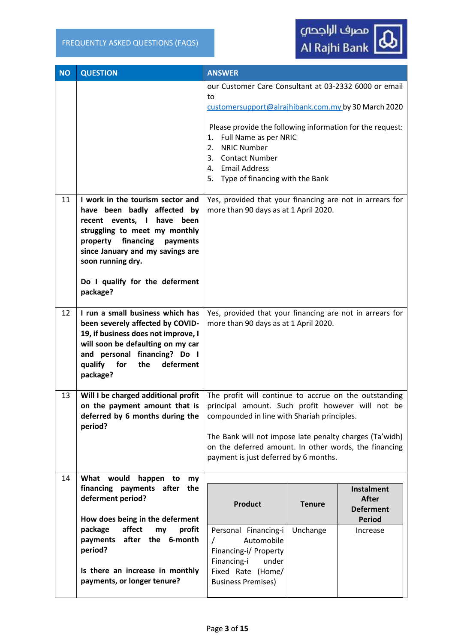| <b>NO</b> | <b>QUESTION</b>                                                                                                                                                                                                                                                               | <b>ANSWER</b>                                                                                                                                                                                                                                                                                                                       |               |                                                                        |
|-----------|-------------------------------------------------------------------------------------------------------------------------------------------------------------------------------------------------------------------------------------------------------------------------------|-------------------------------------------------------------------------------------------------------------------------------------------------------------------------------------------------------------------------------------------------------------------------------------------------------------------------------------|---------------|------------------------------------------------------------------------|
|           |                                                                                                                                                                                                                                                                               | our Customer Care Consultant at 03-2332 6000 or email<br>to<br>customersupport@alrajhibank.com.my by 30 March 2020<br>Please provide the following information for the request:<br>Full Name as per NRIC<br>1.<br><b>NRIC Number</b><br>2.<br><b>Contact Number</b><br>3.<br>4. Email Address<br>5. Type of financing with the Bank |               |                                                                        |
| 11        | I work in the tourism sector and<br>have been badly affected by<br>recent events, I have<br>been<br>struggling to meet my monthly<br>financing<br>property<br>payments<br>since January and my savings are<br>soon running dry.<br>Do I qualify for the deferment<br>package? | Yes, provided that your financing are not in arrears for<br>more than 90 days as at 1 April 2020.                                                                                                                                                                                                                                   |               |                                                                        |
| 12        | I run a small business which has<br>been severely affected by COVID-<br>19, if business does not improve, I<br>will soon be defaulting on my car<br>and personal financing? Do I<br>qualify<br>for<br>the<br>deferment<br>package?                                            | Yes, provided that your financing are not in arrears for<br>more than 90 days as at 1 April 2020.                                                                                                                                                                                                                                   |               |                                                                        |
| 13        | Will I be charged additional profit   The profit will continue to accrue on the outstanding<br>on the payment amount that is   principal amount. Such profit however will not be<br>deferred by 6 months during the<br>period?                                                | compounded in line with Shariah principles.<br>The Bank will not impose late penalty charges (Ta'widh)<br>on the deferred amount. In other words, the financing<br>payment is just deferred by 6 months.                                                                                                                            |               |                                                                        |
| 14        | What would<br>happen<br>to<br>my<br>financing payments after<br>the<br>deferment period?<br>How does being in the deferment                                                                                                                                                   | <b>Product</b>                                                                                                                                                                                                                                                                                                                      | <b>Tenure</b> | <b>Instalment</b><br><b>After</b><br><b>Deferment</b><br><b>Period</b> |
|           | affect<br>package<br>profit<br>my<br>payments after the 6-month<br>period?                                                                                                                                                                                                    | Personal Financing-i<br>Automobile<br>Financing-i/ Property<br>Financing-i<br>under                                                                                                                                                                                                                                                 | Unchange      | Increase                                                               |
|           | Is there an increase in monthly<br>payments, or longer tenure?                                                                                                                                                                                                                | Fixed Rate (Home/<br><b>Business Premises)</b>                                                                                                                                                                                                                                                                                      |               |                                                                        |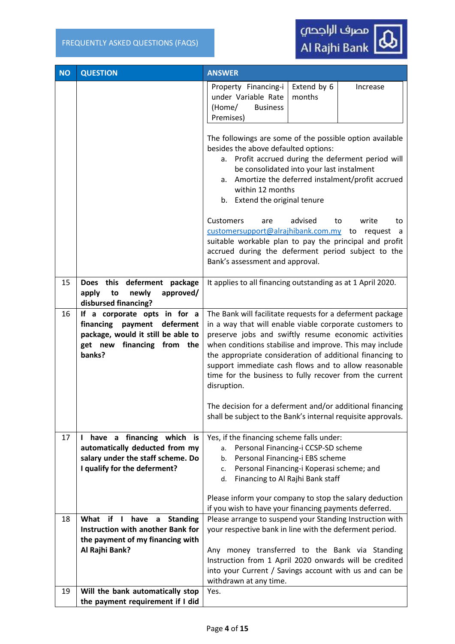

| <b>NO</b> | <b>QUESTION</b>                                                                                                                                           | <b>ANSWER</b>                                                                                                                                                                                                                                                                                                                                                                                                                         |
|-----------|-----------------------------------------------------------------------------------------------------------------------------------------------------------|---------------------------------------------------------------------------------------------------------------------------------------------------------------------------------------------------------------------------------------------------------------------------------------------------------------------------------------------------------------------------------------------------------------------------------------|
|           |                                                                                                                                                           | Property Financing-i<br>Extend by 6<br>Increase<br>under Variable Rate<br>months<br>(Home/<br><b>Business</b><br>Premises)                                                                                                                                                                                                                                                                                                            |
|           |                                                                                                                                                           | The followings are some of the possible option available<br>besides the above defaulted options:<br>a. Profit accrued during the deferment period will<br>be consolidated into your last instalment<br>Amortize the deferred instalment/profit accrued<br>а.<br>within 12 months<br>b. Extend the original tenure                                                                                                                     |
|           |                                                                                                                                                           | <b>Customers</b><br>advised<br>write<br>are<br>to<br>to<br>customersupport@alrajhibank.com.my to<br>request<br>a -<br>suitable workable plan to pay the principal and profit<br>accrued during the deferment period subject to the<br>Bank's assessment and approval.                                                                                                                                                                 |
| 15        | Does this deferment package<br>approved/<br>apply<br>newly<br>to<br>disbursed financing?                                                                  | It applies to all financing outstanding as at 1 April 2020.                                                                                                                                                                                                                                                                                                                                                                           |
| 16        | If a corporate opts in for a<br>financing payment<br>deferment<br>package, would it still be able to<br>get new financing from the<br>banks?              | The Bank will facilitate requests for a deferment package<br>in a way that will enable viable corporate customers to<br>preserve jobs and swiftly resume economic activities<br>when conditions stabilise and improve. This may include<br>the appropriate consideration of additional financing to<br>support immediate cash flows and to allow reasonable<br>time for the business to fully recover from the current<br>disruption. |
|           |                                                                                                                                                           | The decision for a deferment and/or additional financing<br>shall be subject to the Bank's internal requisite approvals.                                                                                                                                                                                                                                                                                                              |
| 17        | have a financing which is<br>$\mathbf{L}$<br>automatically deducted from my<br>salary under the staff scheme. Do<br>I qualify for the deferment?          | Yes, if the financing scheme falls under:<br>Personal Financing-i CCSP-SD scheme<br>a.<br>Personal Financing-i EBS scheme<br>b.<br>Personal Financing-i Koperasi scheme; and<br>c.<br>Financing to Al Rajhi Bank staff<br>d.<br>Please inform your company to stop the salary deduction                                                                                                                                               |
|           |                                                                                                                                                           | if you wish to have your financing payments deferred.                                                                                                                                                                                                                                                                                                                                                                                 |
| 18        | What<br>if I<br>have<br><b>Standing</b><br>$\mathsf{a}$<br><b>Instruction with another Bank for</b><br>the payment of my financing with<br>Al Rajhi Bank? | Please arrange to suspend your Standing Instruction with<br>your respective bank in line with the deferment period.<br>Any money transferred to the Bank via Standing<br>Instruction from 1 April 2020 onwards will be credited<br>into your Current / Savings account with us and can be<br>withdrawn at any time.                                                                                                                   |
| 19        | Will the bank automatically stop<br>the payment requirement if I did                                                                                      | Yes.                                                                                                                                                                                                                                                                                                                                                                                                                                  |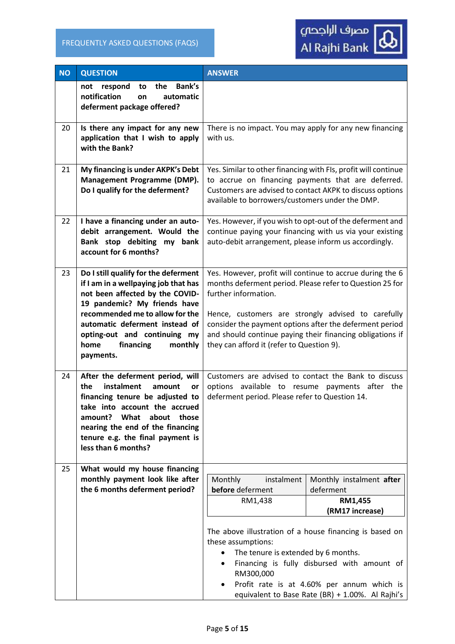

| <b>NO</b> | <b>QUESTION</b>                                                                                                                                                                                                                                                                                   | <b>ANSWER</b>                                                                                                                                                                                                                                                                                                                                                            |                                                                                                                                                                                                                      |
|-----------|---------------------------------------------------------------------------------------------------------------------------------------------------------------------------------------------------------------------------------------------------------------------------------------------------|--------------------------------------------------------------------------------------------------------------------------------------------------------------------------------------------------------------------------------------------------------------------------------------------------------------------------------------------------------------------------|----------------------------------------------------------------------------------------------------------------------------------------------------------------------------------------------------------------------|
|           | Bank's<br>the<br>not respond<br>to<br>notification<br>automatic<br>on<br>deferment package offered?                                                                                                                                                                                               |                                                                                                                                                                                                                                                                                                                                                                          |                                                                                                                                                                                                                      |
| 20        | Is there any impact for any new<br>application that I wish to apply<br>with the Bank?                                                                                                                                                                                                             | There is no impact. You may apply for any new financing<br>with us.                                                                                                                                                                                                                                                                                                      |                                                                                                                                                                                                                      |
| 21        | My financing is under AKPK's Debt<br>Management Programme (DMP).<br>Do I qualify for the deferment?                                                                                                                                                                                               | Yes. Similar to other financing with FIs, profit will continue<br>to accrue on financing payments that are deferred.<br>Customers are advised to contact AKPK to discuss options<br>available to borrowers/customers under the DMP.                                                                                                                                      |                                                                                                                                                                                                                      |
| 22        | I have a financing under an auto-<br>debit arrangement. Would the<br>Bank stop debiting my bank<br>account for 6 months?                                                                                                                                                                          | Yes. However, if you wish to opt-out of the deferment and<br>continue paying your financing with us via your existing<br>auto-debit arrangement, please inform us accordingly.                                                                                                                                                                                           |                                                                                                                                                                                                                      |
| 23        | Do I still qualify for the deferment<br>if I am in a wellpaying job that has<br>not been affected by the COVID-<br>19 pandemic? My friends have<br>recommended me to allow for the<br>automatic deferment instead of<br>opting-out and continuing my<br>financing<br>home<br>monthly<br>payments. | Yes. However, profit will continue to accrue during the 6<br>months deferment period. Please refer to Question 25 for<br>further information.<br>Hence, customers are strongly advised to carefully<br>consider the payment options after the deferment period<br>and should continue paying their financing obligations if<br>they can afford it (refer to Question 9). |                                                                                                                                                                                                                      |
| 24        | After the deferment period, will<br>instalment<br>the<br>amount<br>or<br>financing tenure be adjusted to<br>take into account the accrued<br>amount? What about those<br>nearing the end of the financing<br>tenure e.g. the final payment is<br>less than 6 months?                              | Customers are advised to contact the Bank to discuss<br>options available to resume payments after the<br>deferment period. Please refer to Question 14.                                                                                                                                                                                                                 |                                                                                                                                                                                                                      |
| 25        | What would my house financing<br>monthly payment look like after<br>the 6 months deferment period?                                                                                                                                                                                                | Monthly<br>instalment<br>before deferment<br>RM1,438<br>The above illustration of a house financing is based on<br>these assumptions:<br>The tenure is extended by 6 months.<br>$\bullet$<br>$\bullet$<br>RM300,000<br>$\bullet$                                                                                                                                         | Monthly instalment after<br>deferment<br>RM1,455<br>(RM17 increase)<br>Financing is fully disbursed with amount of<br>Profit rate is at 4.60% per annum which is<br>equivalent to Base Rate (BR) + 1.00%. Al Rajhi's |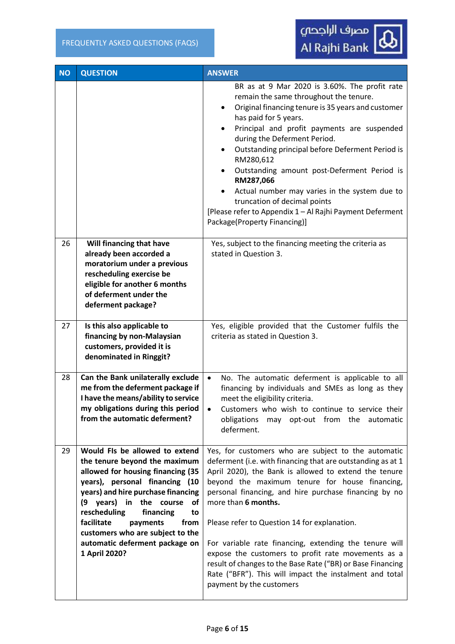**1 April 2020?** 

| <b>NO</b> | <b>QUESTION</b>                                                                                                                                                                                                                                                                                                              | <b>ANSWER</b>                                                                                                                                                                                                                                                                                                                                                                                                                                                                                                                                                                             |
|-----------|------------------------------------------------------------------------------------------------------------------------------------------------------------------------------------------------------------------------------------------------------------------------------------------------------------------------------|-------------------------------------------------------------------------------------------------------------------------------------------------------------------------------------------------------------------------------------------------------------------------------------------------------------------------------------------------------------------------------------------------------------------------------------------------------------------------------------------------------------------------------------------------------------------------------------------|
|           |                                                                                                                                                                                                                                                                                                                              | BR as at 9 Mar 2020 is 3.60%. The profit rate<br>remain the same throughout the tenure.<br>Original financing tenure is 35 years and customer<br>$\bullet$<br>has paid for 5 years.<br>Principal and profit payments are suspended<br>during the Deferment Period.<br>Outstanding principal before Deferment Period is<br>$\bullet$<br>RM280,612<br>Outstanding amount post-Deferment Period is<br>RM287,066<br>Actual number may varies in the system due to<br>truncation of decimal points<br>[Please refer to Appendix 1 - Al Rajhi Payment Deferment<br>Package(Property Financing)] |
| 26        | Will financing that have<br>already been accorded a<br>moratorium under a previous<br>rescheduling exercise be<br>eligible for another 6 months<br>of deferment under the<br>deferment package?                                                                                                                              | Yes, subject to the financing meeting the criteria as<br>stated in Question 3.                                                                                                                                                                                                                                                                                                                                                                                                                                                                                                            |
| 27        | Is this also applicable to<br>financing by non-Malaysian<br>customers, provided it is<br>denominated in Ringgit?                                                                                                                                                                                                             | Yes, eligible provided that the Customer fulfils the<br>criteria as stated in Question 3.                                                                                                                                                                                                                                                                                                                                                                                                                                                                                                 |
| 28        | Can the Bank unilaterally exclude<br>me from the deferment package if<br>I have the means/ability to service<br>my obligations during this period<br>from the automatic deferment?                                                                                                                                           | $\bullet$<br>No. The automatic deferment is applicable to all<br>financing by individuals and SMEs as long as they<br>meet the eligibility criteria.<br>Customers who wish to continue to service their<br>$\bullet$<br>obligations<br>may opt-out from the automatic<br>deferment.                                                                                                                                                                                                                                                                                                       |
| 29        | Would FIs be allowed to extend<br>the tenure beyond the maximum<br>allowed for housing financing (35<br>years), personal financing (10<br>years) and hire purchase financing<br>years)<br>in the course<br>(9<br>οf<br>rescheduling<br>financing<br>to<br>facilitate<br>from<br>payments<br>customers who are subject to the | Yes, for customers who are subject to the automatic<br>deferment (i.e. with financing that are outstanding as at 1<br>April 2020), the Bank is allowed to extend the tenure<br>beyond the maximum tenure for house financing,<br>personal financing, and hire purchase financing by no<br>more than 6 months.<br>Please refer to Question 14 for explanation.                                                                                                                                                                                                                             |

**automatic deferment package on**  For variable rate financing, extending the tenure will expose the customers to profit rate movements as a result of changes to the Base Rate ("BR) or Base Financing Rate ("BFR"). This will impact the instalment and total payment by the customers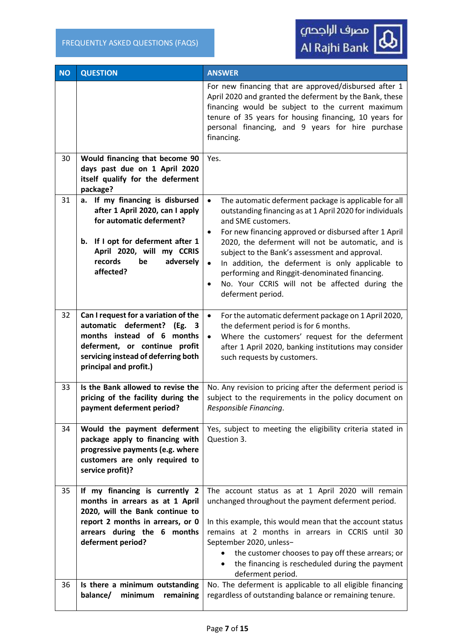

| <b>NO</b> | <b>QUESTION</b>                                                                                                                                                                                        | <b>ANSWER</b>                                                                                                                                                                                                                                                                                                                                                                                             |  |
|-----------|--------------------------------------------------------------------------------------------------------------------------------------------------------------------------------------------------------|-----------------------------------------------------------------------------------------------------------------------------------------------------------------------------------------------------------------------------------------------------------------------------------------------------------------------------------------------------------------------------------------------------------|--|
|           |                                                                                                                                                                                                        | For new financing that are approved/disbursed after 1<br>April 2020 and granted the deferment by the Bank, these<br>financing would be subject to the current maximum<br>tenure of 35 years for housing financing, 10 years for<br>personal financing, and 9 years for hire purchase<br>financing.                                                                                                        |  |
| 30        | Would financing that become 90<br>days past due on 1 April 2020<br>itself qualify for the deferment<br>package?                                                                                        | Yes.                                                                                                                                                                                                                                                                                                                                                                                                      |  |
| 31        | a. If my financing is disbursed<br>after 1 April 2020, can I apply<br>for automatic deferment?                                                                                                         | The automatic deferment package is applicable for all<br>$\bullet$<br>outstanding financing as at 1 April 2020 for individuals<br>and SME customers.<br>For new financing approved or disbursed after 1 April<br>$\bullet$                                                                                                                                                                                |  |
|           | If I opt for deferment after 1<br>b.<br>April 2020, will my CCRIS<br>records<br>adversely<br>be<br>affected?                                                                                           | 2020, the deferment will not be automatic, and is<br>subject to the Bank's assessment and approval.<br>In addition, the deferment is only applicable to<br>$\bullet$<br>performing and Ringgit-denominated financing.<br>No. Your CCRIS will not be affected during the<br>$\bullet$<br>deferment period.                                                                                                 |  |
| 32        | Can I request for a variation of the<br>automatic deferment? (Eg.<br>3<br>months instead of 6 months<br>deferment, or continue profit<br>servicing instead of deferring both<br>principal and profit.) | For the automatic deferment package on 1 April 2020,<br>$\bullet$<br>the deferment period is for 6 months.<br>Where the customers' request for the deferment<br>$\bullet$<br>after 1 April 2020, banking institutions may consider<br>such requests by customers.                                                                                                                                         |  |
| 33        | Is the Bank allowed to revise the<br>pricing of the facility during the<br>payment deferment period?                                                                                                   | No. Any revision to pricing after the deferment period is<br>subject to the requirements in the policy document on<br>Responsible Financing.                                                                                                                                                                                                                                                              |  |
| 34        | Would the payment deferment<br>package apply to financing with<br>progressive payments (e.g. where<br>customers are only required to<br>service profit)?                                               | Yes, subject to meeting the eligibility criteria stated in<br>Question 3.                                                                                                                                                                                                                                                                                                                                 |  |
| 35        | If my financing is currently 2<br>months in arrears as at 1 April<br>2020, will the Bank continue to<br>report 2 months in arrears, or 0<br>arrears during the 6 months<br>deferment period?           | The account status as at 1 April 2020 will remain<br>unchanged throughout the payment deferment period.<br>In this example, this would mean that the account status<br>remains at 2 months in arrears in CCRIS until 30<br>September 2020, unless-<br>the customer chooses to pay off these arrears; or<br>$\bullet$<br>the financing is rescheduled during the payment<br>$\bullet$<br>deferment period. |  |
| 36        | Is there a minimum outstanding<br>balance/<br>minimum<br>remaining                                                                                                                                     | No. The deferment is applicable to all eligible financing<br>regardless of outstanding balance or remaining tenure.                                                                                                                                                                                                                                                                                       |  |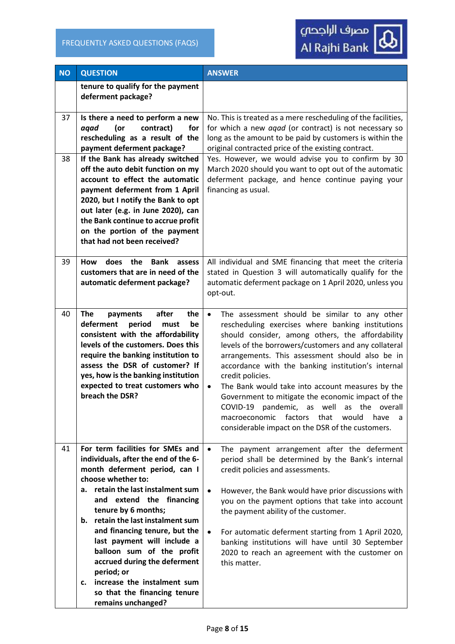| <b>NO</b> | <b>QUESTION</b>                                                                                                                                                                                                                                                                                                                                                                                                                                                                                          | <b>ANSWER</b>                                                                                                                                                                                                                                                                                                                                                                                                                                                                                                                                                                                                                             |
|-----------|----------------------------------------------------------------------------------------------------------------------------------------------------------------------------------------------------------------------------------------------------------------------------------------------------------------------------------------------------------------------------------------------------------------------------------------------------------------------------------------------------------|-------------------------------------------------------------------------------------------------------------------------------------------------------------------------------------------------------------------------------------------------------------------------------------------------------------------------------------------------------------------------------------------------------------------------------------------------------------------------------------------------------------------------------------------------------------------------------------------------------------------------------------------|
|           | tenure to qualify for the payment<br>deferment package?                                                                                                                                                                                                                                                                                                                                                                                                                                                  |                                                                                                                                                                                                                                                                                                                                                                                                                                                                                                                                                                                                                                           |
| 37<br>38  | Is there a need to perform a new<br>(or<br>contract)<br>aqad<br>for<br>rescheduling as a result of the<br>payment deferment package?<br>If the Bank has already switched<br>off the auto debit function on my<br>account to effect the automatic<br>payment deferment from 1 April<br>2020, but I notify the Bank to opt<br>out later (e.g. in June 2020), can<br>the Bank continue to accrue profit<br>on the portion of the payment<br>that had not been received?                                     | No. This is treated as a mere rescheduling of the facilities,<br>for which a new agad (or contract) is not necessary so<br>long as the amount to be paid by customers is within the<br>original contracted price of the existing contract.<br>Yes. However, we would advise you to confirm by 30<br>March 2020 should you want to opt out of the automatic<br>deferment package, and hence continue paying your<br>financing as usual.                                                                                                                                                                                                    |
| 39        | <b>How</b><br>does the<br><b>Bank</b><br>assess<br>customers that are in need of the<br>automatic deferment package?                                                                                                                                                                                                                                                                                                                                                                                     | All individual and SME financing that meet the criteria<br>stated in Question 3 will automatically qualify for the<br>automatic deferment package on 1 April 2020, unless you<br>opt-out.                                                                                                                                                                                                                                                                                                                                                                                                                                                 |
| 40        | <b>The</b><br>payments<br>after<br>the<br>deferment<br>period<br>be<br>must<br>consistent with the affordability<br>levels of the customers. Does this<br>require the banking institution to<br>assess the DSR of customer? If<br>yes, how is the banking institution<br>expected to treat customers who<br>breach the DSR?                                                                                                                                                                              | The assessment should be similar to any other<br>$\bullet$<br>rescheduling exercises where banking institutions<br>should consider, among others, the affordability<br>levels of the borrowers/customers and any collateral<br>arrangements. This assessment should also be in<br>accordance with the banking institution's internal<br>credit policies.<br>The Bank would take into account measures by the<br>$\bullet$<br>Government to mitigate the economic impact of the<br>COVID-19 pandemic, as well as the overall<br>factors<br>that<br>macroeconomic<br>would<br>have<br>a<br>considerable impact on the DSR of the customers. |
| 41        | For term facilities for SMEs and<br>individuals, after the end of the 6-<br>month deferment period, can I<br>choose whether to:<br>retain the last instalment sum<br>а.<br>extend the financing<br>and<br>tenure by 6 months;<br>b. retain the last instalment sum<br>and financing tenure, but the<br>last payment will include a<br>balloon sum of the profit<br>accrued during the deferment<br>period; or<br>increase the instalment sum<br>c.<br>so that the financing tenure<br>remains unchanged? | The payment arrangement after the deferment<br>period shall be determined by the Bank's internal<br>credit policies and assessments.<br>However, the Bank would have prior discussions with<br>you on the payment options that take into account<br>the payment ability of the customer.<br>For automatic deferment starting from 1 April 2020,<br>banking institutions will have until 30 September<br>2020 to reach an agreement with the customer on<br>this matter.                                                                                                                                                                   |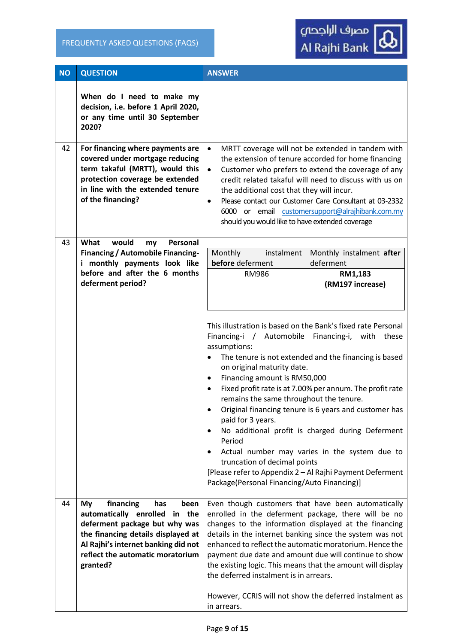

| <b>NO</b> | <b>QUESTION</b>                                                                                                                                                                                                               | <b>ANSWER</b>                                                                                                                                                                                                                                                                                                                                                                                                                                                                                                                         |                                                                                                                                                                                                                                                                                                                                        |
|-----------|-------------------------------------------------------------------------------------------------------------------------------------------------------------------------------------------------------------------------------|---------------------------------------------------------------------------------------------------------------------------------------------------------------------------------------------------------------------------------------------------------------------------------------------------------------------------------------------------------------------------------------------------------------------------------------------------------------------------------------------------------------------------------------|----------------------------------------------------------------------------------------------------------------------------------------------------------------------------------------------------------------------------------------------------------------------------------------------------------------------------------------|
|           | When do I need to make my<br>decision, i.e. before 1 April 2020,<br>or any time until 30 September<br>2020?                                                                                                                   |                                                                                                                                                                                                                                                                                                                                                                                                                                                                                                                                       |                                                                                                                                                                                                                                                                                                                                        |
| 42        | For financing where payments are<br>covered under mortgage reducing<br>term takaful (MRTT), would this<br>protection coverage be extended<br>in line with the extended tenure<br>of the financing?                            | $\bullet$<br>$\bullet$<br>the additional cost that they will incur.<br>$\bullet$<br>should you would like to have extended coverage                                                                                                                                                                                                                                                                                                                                                                                                   | MRTT coverage will not be extended in tandem with<br>the extension of tenure accorded for home financing<br>Customer who prefers to extend the coverage of any<br>credit related takaful will need to discuss with us on<br>Please contact our Customer Care Consultant at 03-2332<br>6000 or email customersupport@alrajhibank.com.my |
| 43        | What<br>would<br>Personal<br>my<br><b>Financing / Automobile Financing-</b><br>i monthly payments look like<br>before and after the 6 months<br>deferment period?                                                             | Monthly<br>instalment<br>before deferment<br><b>RM986</b>                                                                                                                                                                                                                                                                                                                                                                                                                                                                             | Monthly instalment after<br>deferment<br>RM1,183<br>(RM197 increase)                                                                                                                                                                                                                                                                   |
|           |                                                                                                                                                                                                                               | This illustration is based on the Bank's fixed rate Personal<br>Financing-i / Automobile Financing-i, with these<br>assumptions:<br>$\bullet$<br>on original maturity date.<br>Financing amount is RM50,000<br>$\bullet$<br>$\bullet$<br>remains the same throughout the tenure.<br>$\bullet$<br>paid for 3 years.<br>$\bullet$<br>Period<br>$\bullet$<br>truncation of decimal points<br>[Please refer to Appendix 2 - Al Rajhi Payment Deferment<br>Package(Personal Financing/Auto Financing)]                                     | The tenure is not extended and the financing is based<br>Fixed profit rate is at 7.00% per annum. The profit rate<br>Original financing tenure is 6 years and customer has<br>No additional profit is charged during Deferment<br>Actual number may varies in the system due to                                                        |
| 44        | financing<br>My<br>has<br>been<br>automatically enrolled in the<br>deferment package but why was<br>the financing details displayed at<br>Al Rajhi's internet banking did not<br>reflect the automatic moratorium<br>granted? | Even though customers that have been automatically<br>enrolled in the deferment package, there will be no<br>changes to the information displayed at the financing<br>details in the internet banking since the system was not<br>enhanced to reflect the automatic moratorium. Hence the<br>payment due date and amount due will continue to show<br>the existing logic. This means that the amount will display<br>the deferred instalment is in arrears.<br>However, CCRIS will not show the deferred instalment as<br>in arrears. |                                                                                                                                                                                                                                                                                                                                        |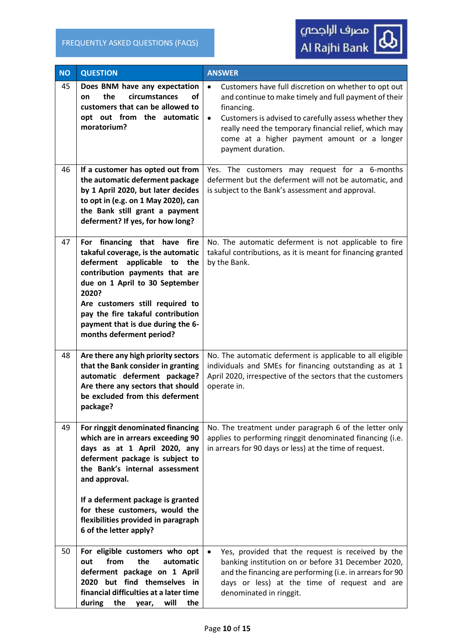| <b>NO</b> | <b>QUESTION</b>                                                                                                                                                                                                                                                                                                                  | <b>ANSWER</b>                                                                                                                                                                                                                                                                                                                               |
|-----------|----------------------------------------------------------------------------------------------------------------------------------------------------------------------------------------------------------------------------------------------------------------------------------------------------------------------------------|---------------------------------------------------------------------------------------------------------------------------------------------------------------------------------------------------------------------------------------------------------------------------------------------------------------------------------------------|
| 45        | Does BNM have any expectation<br>circumstances<br><b>of</b><br>the<br>on<br>customers that can be allowed to<br>opt out from the automatic<br>moratorium?                                                                                                                                                                        | $\bullet$<br>Customers have full discretion on whether to opt out<br>and continue to make timely and full payment of their<br>financing.<br>Customers is advised to carefully assess whether they<br>$\bullet$<br>really need the temporary financial relief, which may<br>come at a higher payment amount or a longer<br>payment duration. |
| 46        | If a customer has opted out from<br>the automatic deferment package<br>by 1 April 2020, but later decides<br>to opt in (e.g. on 1 May 2020), can<br>the Bank still grant a payment<br>deferment? If yes, for how long?                                                                                                           | Yes. The customers may request for a 6-months<br>deferment but the deferment will not be automatic, and<br>is subject to the Bank's assessment and approval.                                                                                                                                                                                |
| 47        | For financing that have fire<br>takaful coverage, is the automatic<br>deferment<br>applicable<br>to<br>the<br>contribution payments that are<br>due on 1 April to 30 September<br>2020?<br>Are customers still required to<br>pay the fire takaful contribution<br>payment that is due during the 6-<br>months deferment period? | No. The automatic deferment is not applicable to fire<br>takaful contributions, as it is meant for financing granted<br>by the Bank.                                                                                                                                                                                                        |
| 48        | Are there any high priority sectors<br>that the Bank consider in granting<br>automatic deferment package?<br>Are there any sectors that should<br>be excluded from this deferment<br>package?                                                                                                                                    | No. The automatic deferment is applicable to all eligible<br>individuals and SMEs for financing outstanding as at 1<br>April 2020, irrespective of the sectors that the customers<br>operate in.                                                                                                                                            |
| 49        | For ringgit denominated financing<br>which are in arrears exceeding 90<br>days as at 1 April 2020, any<br>deferment package is subject to<br>the Bank's internal assessment<br>and approval.<br>If a deferment package is granted<br>for these customers, would the<br>flexibilities provided in paragraph                       | No. The treatment under paragraph 6 of the letter only<br>applies to performing ringgit denominated financing (i.e.<br>in arrears for 90 days or less) at the time of request.                                                                                                                                                              |
| 50        | 6 of the letter apply?<br>For eligible customers who opt<br>from<br>the<br>automatic<br>out<br>deferment package on 1 April<br>2020 but find themselves in<br>financial difficulties at a later time<br>during<br>will<br>the<br>the<br>year,                                                                                    | Yes, provided that the request is received by the<br>banking institution on or before 31 December 2020,<br>and the financing are performing (i.e. in arrears for 90<br>days or less) at the time of request and are<br>denominated in ringgit.                                                                                              |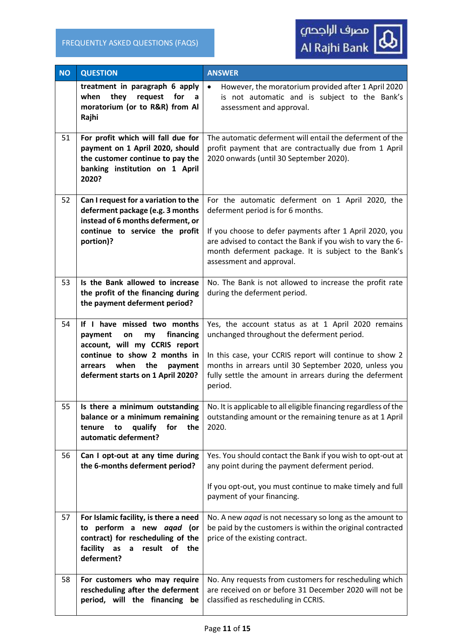| <b>NO</b> | <b>QUESTION</b>                                                                                                                                                                                            | <b>ANSWER</b>                                                                                                                                                                                                                                                                                      |
|-----------|------------------------------------------------------------------------------------------------------------------------------------------------------------------------------------------------------------|----------------------------------------------------------------------------------------------------------------------------------------------------------------------------------------------------------------------------------------------------------------------------------------------------|
|           | treatment in paragraph 6 apply<br>they<br>when<br>request<br>for<br>a<br>moratorium (or to R&R) from Al<br>Rajhi                                                                                           | However, the moratorium provided after 1 April 2020<br>$\bullet$<br>is not automatic and is subject to the Bank's<br>assessment and approval.                                                                                                                                                      |
| 51        | For profit which will fall due for<br>payment on 1 April 2020, should<br>the customer continue to pay the<br>banking institution on 1 April<br>2020?                                                       | The automatic deferment will entail the deferment of the<br>profit payment that are contractually due from 1 April<br>2020 onwards (until 30 September 2020).                                                                                                                                      |
| 52        | Can I request for a variation to the<br>deferment package (e.g. 3 months<br>instead of 6 months deferment, or<br>continue to service the profit<br>portion)?                                               | For the automatic deferment on 1 April 2020, the<br>deferment period is for 6 months.<br>If you choose to defer payments after 1 April 2020, you<br>are advised to contact the Bank if you wish to vary the 6-<br>month deferment package. It is subject to the Bank's<br>assessment and approval. |
| 53        | Is the Bank allowed to increase<br>the profit of the financing during<br>the payment deferment period?                                                                                                     | No. The Bank is not allowed to increase the profit rate<br>during the deferment period.                                                                                                                                                                                                            |
| 54        | If I have missed two months<br>financing<br>payment<br>on<br>my<br>account, will my CCRIS report<br>continue to show 2 months in<br>when<br>the<br>payment<br>arrears<br>deferment starts on 1 April 2020? | Yes, the account status as at 1 April 2020 remains<br>unchanged throughout the deferment period.<br>In this case, your CCRIS report will continue to show 2<br>months in arrears until 30 September 2020, unless you<br>fully settle the amount in arrears during the deferment<br>period.         |
| 55        | Is there a minimum outstanding<br>balance or a minimum remaining<br>qualify<br>for<br>the<br>tenure<br>to<br>automatic deferment?                                                                          | No. It is applicable to all eligible financing regardless of the<br>outstanding amount or the remaining tenure as at 1 April<br>2020.                                                                                                                                                              |
| 56        | Can I opt-out at any time during<br>the 6-months deferment period?                                                                                                                                         | Yes. You should contact the Bank if you wish to opt-out at<br>any point during the payment deferment period.<br>If you opt-out, you must continue to make timely and full<br>payment of your financing.                                                                                            |
| 57        | For Islamic facility, is there a need<br>perform a new aqad (or<br>to<br>contract) for rescheduling of the<br>facility<br>as<br>result<br>of the<br>$\mathsf{a}$<br>deferment?                             | No. A new agad is not necessary so long as the amount to<br>be paid by the customers is within the original contracted<br>price of the existing contract.                                                                                                                                          |
| 58        | For customers who may require<br>rescheduling after the deferment<br>period, will the financing be                                                                                                         | No. Any requests from customers for rescheduling which<br>are received on or before 31 December 2020 will not be<br>classified as rescheduling in CCRIS.                                                                                                                                           |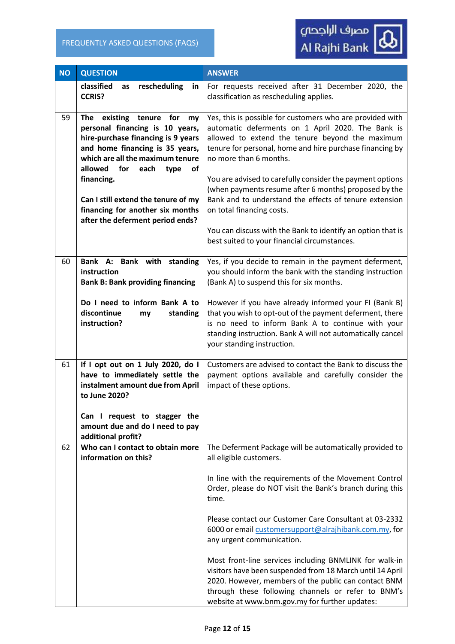

| <b>NO</b> | <b>QUESTION</b>                                                                                                                                                                                                                                                                                                                                             | <b>ANSWER</b>                                                                                                                                                                                                                                                                                                                                                                                                                                                                                                                                                                                                                                           |
|-----------|-------------------------------------------------------------------------------------------------------------------------------------------------------------------------------------------------------------------------------------------------------------------------------------------------------------------------------------------------------------|---------------------------------------------------------------------------------------------------------------------------------------------------------------------------------------------------------------------------------------------------------------------------------------------------------------------------------------------------------------------------------------------------------------------------------------------------------------------------------------------------------------------------------------------------------------------------------------------------------------------------------------------------------|
|           | classified<br>rescheduling<br>as<br>in<br><b>CCRIS?</b>                                                                                                                                                                                                                                                                                                     | For requests received after 31 December 2020, the<br>classification as rescheduling applies.                                                                                                                                                                                                                                                                                                                                                                                                                                                                                                                                                            |
| 59        | existing<br>The<br>tenure<br>for<br>my<br>personal financing is 10 years,<br>hire-purchase financing is 9 years<br>and home financing is 35 years,<br>which are all the maximum tenure<br>allowed<br>for<br>each<br>of<br>type<br>financing.<br>Can I still extend the tenure of my<br>financing for another six months<br>after the deferment period ends? | Yes, this is possible for customers who are provided with<br>automatic deferments on 1 April 2020. The Bank is<br>allowed to extend the tenure beyond the maximum<br>tenure for personal, home and hire purchase financing by<br>no more than 6 months.<br>You are advised to carefully consider the payment options<br>(when payments resume after 6 months) proposed by the<br>Bank and to understand the effects of tenure extension<br>on total financing costs.<br>You can discuss with the Bank to identify an option that is<br>best suited to your financial circumstances.                                                                     |
| 60        | Bank A: Bank with standing<br>instruction<br><b>Bank B: Bank providing financing</b>                                                                                                                                                                                                                                                                        | Yes, if you decide to remain in the payment deferment,<br>you should inform the bank with the standing instruction<br>(Bank A) to suspend this for six months.                                                                                                                                                                                                                                                                                                                                                                                                                                                                                          |
|           | Do I need to inform Bank A to<br>discontinue<br>standing<br>my<br>instruction?                                                                                                                                                                                                                                                                              | However if you have already informed your FI (Bank B)<br>that you wish to opt-out of the payment deferment, there<br>is no need to inform Bank A to continue with your<br>standing instruction. Bank A will not automatically cancel<br>your standing instruction.                                                                                                                                                                                                                                                                                                                                                                                      |
| 61        | If I opt out on 1 July 2020, do I<br>have to immediately settle the<br>instalment amount due from April<br>to June 2020?<br>Can I request to stagger the                                                                                                                                                                                                    | Customers are advised to contact the Bank to discuss the<br>payment options available and carefully consider the<br>impact of these options.                                                                                                                                                                                                                                                                                                                                                                                                                                                                                                            |
|           | amount due and do I need to pay<br>additional profit?                                                                                                                                                                                                                                                                                                       |                                                                                                                                                                                                                                                                                                                                                                                                                                                                                                                                                                                                                                                         |
| 62        | Who can I contact to obtain more<br>information on this?                                                                                                                                                                                                                                                                                                    | The Deferment Package will be automatically provided to<br>all eligible customers.<br>In line with the requirements of the Movement Control<br>Order, please do NOT visit the Bank's branch during this<br>time.<br>Please contact our Customer Care Consultant at 03-2332<br>6000 or email customersupport@alrajhibank.com.my, for<br>any urgent communication.<br>Most front-line services including BNMLINK for walk-in<br>visitors have been suspended from 18 March until 14 April<br>2020. However, members of the public can contact BNM<br>through these following channels or refer to BNM's<br>website at www.bnm.gov.my for further updates: |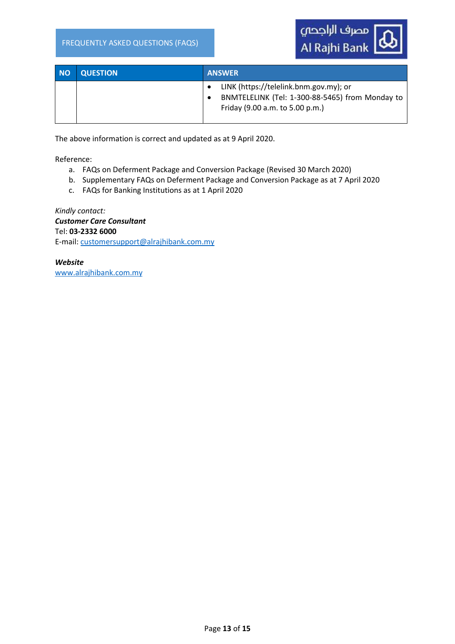

| <b>NO</b> | <b>QUESTION</b> | <b>ANSWER</b>                                                                                                                |
|-----------|-----------------|------------------------------------------------------------------------------------------------------------------------------|
|           |                 | LINK (https://telelink.bnm.gov.my); or<br>BNMTELELINK (Tel: 1-300-88-5465) from Monday to<br>Friday (9.00 a.m. to 5.00 p.m.) |

The above information is correct and updated as at 9 April 2020.

Reference:

- a. FAQs on Deferment Package and Conversion Package (Revised 30 March 2020)
- b. Supplementary FAQs on Deferment Package and Conversion Package as at 7 April 2020
- c. FAQs for Banking Institutions as at 1 April 2020

*Kindly contact: Customer Care Consultant* Tel: **03-2332 6000**  E-mail: [customersupport@alrajhibank.com.my](mailto:customersupport@alrajhibank.com.my)

*Website* [www.alrajhibank.com.my](http://www.alrajhibank.com.my/)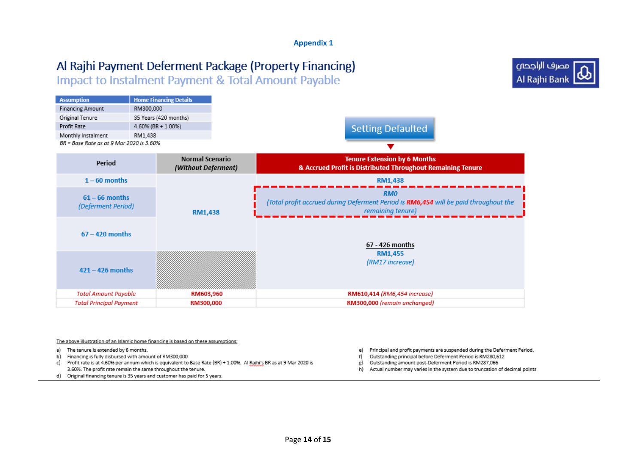#### **Appendix 1**

# Al Rajhi Payment Deferment Package (Property Financing)

Impact to Instalment Payment & Total Amount Payable



| <b>Assumption</b>                        | <b>Home Financing Details</b> |  |
|------------------------------------------|-------------------------------|--|
| <b>Financing Amount</b>                  | RM300,000                     |  |
| Original Tenure                          | 35 Years (420 months)         |  |
| Profit Rate                              | 4.60% (BR + 1.00%)            |  |
| Monthly Instalment                       | RM1,438                       |  |
| BR = Base Rate as at 9 Mar 2020 is 3.60% |                               |  |



**Normal Scenario Tenure Extension by 6 Months** Period (Without Deferment) & Accrued Profit is Distributed Throughout Remaining Tenure  $1 - 60$  months **RM1,438 RMO**  $61 - 66$  months (Total profit accrued during Deferment Period is RM6,454 will be paid throughout the (Deferment Period) remaining tenure) **RM1,438**  $67 - 420$  months 67 - 426 months **RM1.455** (RM17 increase)  $421 - 426$  months **Total Amount Payable** RM603,960 RM610,414 (RM6,454 increase) **Total Principal Payment** RM300,000 RM300,000 (remain unchanged)

#### The above illustration of an Islamic home financing is based on these assumptions:

- a) The tenure is extended by 6 months.
- b) Financing is fully disbursed with amount of RM300,000
- c) Profit rate is at 4.60% per annum which is equivalent to Base Rate (BR) + 1.00%. Al Raihi's BR as at 9 Mar 2020 is 3.60%. The profit rate remain the same throughout the tenure.
- d) Original financing tenure is 35 years and customer has paid for 5 years.
- Principal and profit payments are suspended during the Deferment Period. e)
- Outstanding principal before Deferment Period is RM280,612 f)
- Outstanding amount post-Deferment Period is RM287,066 g)
- Actual number may varies in the system due to truncation of decimal points h)